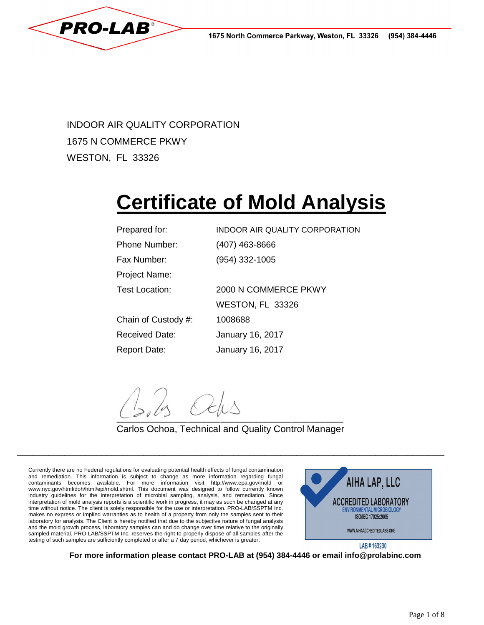

INDOOR AIR QUALITY CORPORATION 1675 N COMMERCE PKWY WESTON, FL 33326

# **Certificate of Mold Analysis**

| Prepared for:         | INDOOR AIR QUALITY CORPORATION |
|-----------------------|--------------------------------|
| <b>Phone Number:</b>  | (407) 463-8666                 |
| Fax Number:           | (954) 332-1005                 |
| Project Name:         |                                |
| <b>Test Location:</b> | 2000 N COMMERCE PKWY           |
|                       | WESTON, FL 33326               |
| Chain of Custody #:   | 1008688                        |
| Received Date:        | January 16, 2017               |
| <b>Report Date:</b>   | January 16, 2017               |

 $\overline{\phantom{a}}$ 

# Carlos Ochoa, Technical and Quality Control Manager

\_\_\_\_\_\_\_\_\_\_\_\_\_\_\_\_\_\_\_\_\_\_\_\_\_\_\_\_\_\_\_\_\_\_\_\_\_\_\_\_\_\_\_\_\_\_\_\_\_\_\_\_\_\_\_\_\_\_\_\_\_\_\_\_\_\_\_\_\_\_\_\_\_\_\_\_\_\_\_\_\_

Currently there are no Federal regulations for evaluating potential health effects of fungal contamination and remediation. This information is subject to change as more information regarding fungal contaminants becomes available. For more information visit http://www.epa.gov/mold or www.nyc.gov/html/doh/html/epi/mold.shtml. This document was designed to follow currently known industry guidelines for the interpretation of microbial sampling, analysis, and remediation. Since interpretation of mold analysis reports is a scientific work in progress, it may as such be changed at any time without notice. The client is solely responsible for the use or interpretation. PRO-LAB/SSPTM Inc. makes no express or implied warranties as to health of a property from only the samples sent to their laboratory for analysis. The Client is hereby notified that due to the subjective nature of fungal analysis and the mold growth process, laboratory samples can and do change over time relative to the originally sampled material. PRO-LAB/SSPTM Inc. reserves the right to properly dispose of all samples after the testing of such samples are sufficiently completed or after a 7 day period, whichever is greater.



**For more information please contact PRO-LAB at (954) 384-4446 or email info@prolabinc.com**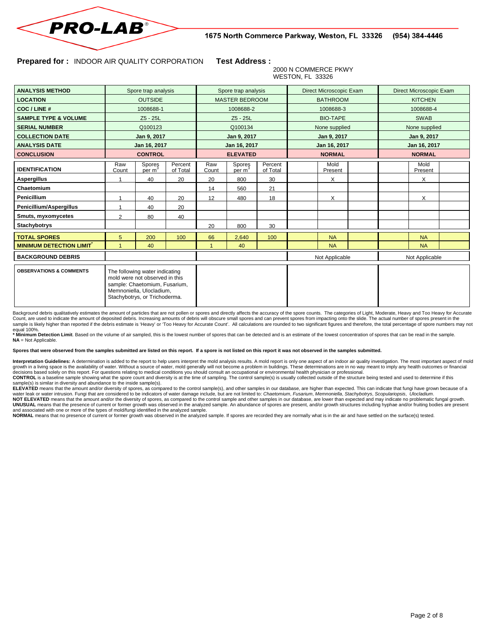

#### **Prepared for :** INDOOR AIR QUALITY CORPORATION **Test Address :**

Stachybotrys, or Trichoderma.

#### 2000 N COMMERCE PKWY WESTON, FL 33326

| <b>ANALYSIS METHOD</b>                     | Spore trap analysis |                                                                                                                               |                       | Spore trap analysis |                 |                     | Direct Microscopic Exam |                 | Direct Microscopic Exam |               |                 |  |
|--------------------------------------------|---------------------|-------------------------------------------------------------------------------------------------------------------------------|-----------------------|---------------------|-----------------|---------------------|-------------------------|-----------------|-------------------------|---------------|-----------------|--|
| <b>LOCATION</b>                            | <b>OUTSIDE</b>      |                                                                                                                               | <b>MASTER BEDROOM</b> |                     |                 | <b>BATHROOM</b>     |                         | <b>KITCHEN</b>  |                         |               |                 |  |
| COC/LINE#                                  | 1008688-1           |                                                                                                                               |                       | 1008688-2           |                 |                     | 1008688-3               |                 | 1008688-4               |               |                 |  |
| <b>SAMPLE TYPE &amp; VOLUME</b>            | Z5 - 25L            |                                                                                                                               |                       | Z5 - 25L            |                 |                     | <b>BIO-TAPE</b>         |                 | <b>SWAB</b>             |               |                 |  |
| <b>SERIAL NUMBER</b>                       | Q100123             |                                                                                                                               |                       | Q100134             |                 |                     | None supplied           |                 | None supplied           |               |                 |  |
| <b>COLLECTION DATE</b>                     | Jan 9, 2017         |                                                                                                                               |                       | Jan 9, 2017         |                 |                     | Jan 9, 2017             |                 | Jan 9, 2017             |               |                 |  |
| <b>ANALYSIS DATE</b>                       | Jan 16, 2017        |                                                                                                                               |                       | Jan 16, 2017        |                 |                     | Jan 16, 2017            |                 | Jan 16, 2017            |               |                 |  |
| <b>CONCLUSION</b>                          | <b>CONTROL</b>      |                                                                                                                               |                       | <b>ELEVATED</b>     |                 |                     | <b>NORMAL</b>           |                 |                         | <b>NORMAL</b> |                 |  |
| <b>IDENTIFICATION</b>                      | Raw<br>Count        | Spores<br>per m                                                                                                               | Percent<br>of Total   | Raw<br>Count        | Spores<br>per m | Percent<br>of Total |                         | Mold<br>Present |                         |               | Mold<br>Present |  |
| Aspergillus                                |                     | 40                                                                                                                            | 20                    | 20                  | 800             | 30                  |                         | X               |                         |               | X               |  |
| Chaetomium                                 |                     |                                                                                                                               |                       | 14                  | 560             | 21                  |                         |                 |                         |               |                 |  |
| <b>Penicillium</b>                         |                     | 40                                                                                                                            | 20                    | 12                  | 480             | 18                  |                         | X               |                         |               | X               |  |
| Penicillium/Aspergillus                    |                     | 40                                                                                                                            | 20                    |                     |                 |                     |                         |                 |                         |               |                 |  |
| Smuts, myxomycetes                         | $\overline{2}$      | 80                                                                                                                            | 40                    |                     |                 |                     |                         |                 |                         |               |                 |  |
| <b>Stachybotrys</b>                        |                     |                                                                                                                               |                       | 20                  | 800             | 30                  |                         |                 |                         |               |                 |  |
| <b>TOTAL SPORES</b>                        | 5                   | 200                                                                                                                           | 100                   | 66                  | 2,640           | 100                 |                         | <b>NA</b>       |                         |               | <b>NA</b>       |  |
| <b>MINIMUM DETECTION LIMIT<sup>®</sup></b> |                     | 40                                                                                                                            |                       |                     | 40              |                     |                         | <b>NA</b>       |                         |               | <b>NA</b>       |  |
| <b>BACKGROUND DEBRIS</b>                   |                     |                                                                                                                               |                       |                     |                 |                     |                         | Not Applicable  |                         |               | Not Applicable  |  |
| <b>OBSERVATIONS &amp; COMMENTS</b>         |                     | The following water indicating<br>mold were not observed in this<br>sample: Chaetomium, Fusarium,<br>Memnoniella, Ulocladium. |                       |                     |                 |                     |                         |                 |                         |               |                 |  |

Background debris qualitatively estimates the amount of particles that are not pollen or spores and directly affects the accuracy of the spore counts. The categories of Light, Moderate, Heavy and Too Heavy for Accurate Count, are used to indicate the amount of deposited debris. Increasing amounts of debris will obscure small spores and can prevent spores from impacting onto the slide. The actual number of spores present in the sample is likely higher than reported if the debris estimate is 'Heavy' or 'Too Heavy for Accurate Count'. All calculations are rounded to two significant figures and therefore, the total percentage of spore numbers may no equal 100%.

**\* Minimum Detection Limit**. Based on the volume of air sampled, this is the lowest number of spores that can be detected and is an estimate of the lowest concentration of spores that can be read in the sample. **NA** = Not Applicable.

Spores that were observed from the samples submitted are listed on this report. If a spore is not listed on this report it was not observed in the samples submitted.

Interpretation Guidelines: A determination is added to the report to help users interpret the mold analysis results. A mold report is only one aspect of an indoor air quality investigation. The most important aspect of mol growth in a living space is the availability of water. Without a source of water, mold generally will not become a problem in buildings. These determinations are in no way meant to imply any health outcomes or financial decisions based solely on this report. For questions relating to medical conditions you should consult an occupational or environmental health physician or professional.

CONTROL is a baseline sample showing what the spore count and diversity is at the time of sampling. The control sample(s) is usually collected outside of the structure being tested and used to determine if this<br>sample(s) i

ELEVATED means that the amount and/or diversity of spores, as compared to the control sample(s), and other samples in our database, are higher than expected. This can indicate that fungi have grown because of a water leak or water intrusion. Fungi that are considered to be indicators of water damage include, but are not limited to: Chaetomium, Fusarium, Memnoniella, Stachybotrys, Scopulariopsis, Ulocladium.

**NOT ELEVATED** means that the amount and/or the diversity of spores, as compared to the control sample and other samples in our database, are lower than expected and may indicate no problematic fungal growth. UNUSUAL means that the presence of current or former growth was observed in the analyzed sample. An abundance of spores are present, and/or growth structures including hyphae and/or fruiting bodies are present and associated with one or more of the types of mold/fungi identified in the analyzed sample.

**NORMAL** means that no presence of current or former growth was observed in the analyzed sample. If spores are recorded they are normally what is in the air and have settled on the surface(s) tested.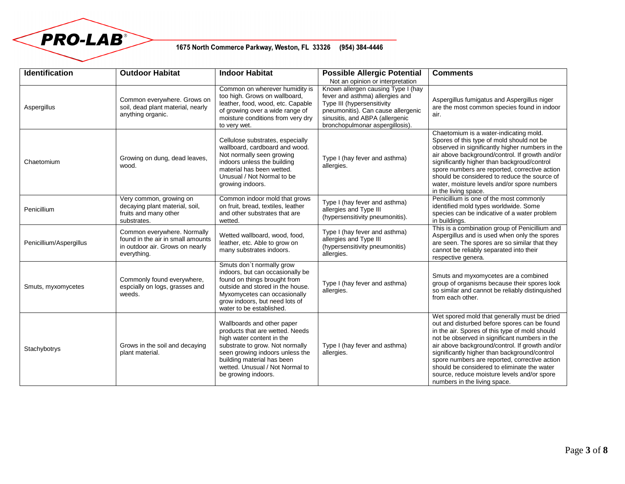

## 1675 North Commerce Parkway, Weston, FL 33326 (954) 384-4446

| <b>Identification</b>   | <b>Outdoor Habitat</b>                                                                                             | <b>Indoor Habitat</b>                                                                                                                                                                                                                                    | <b>Possible Allergic Potential</b><br>Not an opinion or interpretation                                                                                                                                          | <b>Comments</b>                                                                                                                                                                                                                                                                                                                                                                                                                                                                  |
|-------------------------|--------------------------------------------------------------------------------------------------------------------|----------------------------------------------------------------------------------------------------------------------------------------------------------------------------------------------------------------------------------------------------------|-----------------------------------------------------------------------------------------------------------------------------------------------------------------------------------------------------------------|----------------------------------------------------------------------------------------------------------------------------------------------------------------------------------------------------------------------------------------------------------------------------------------------------------------------------------------------------------------------------------------------------------------------------------------------------------------------------------|
| Aspergillus             | Common everywhere. Grows on<br>soil, dead plant material, nearly<br>anything organic.                              | Common on wherever humidity is<br>too high. Grows on wallboard,<br>leather, food, wood, etc. Capable<br>of growing over a wide range of<br>moisture conditions from very dry<br>to very wet.                                                             | Known allergen causing Type I (hay<br>fever and asthma) allergies and<br>Type III (hypersensitivity<br>pneumonitis). Can cause allergenic<br>sinusitis, and ABPA (allergenic<br>bronchopulmonar aspergillosis). | Aspergillus fumigatus and Aspergillus niger<br>are the most common species found in indoor<br>air.                                                                                                                                                                                                                                                                                                                                                                               |
| Chaetomium              | Growing on dung, dead leaves,<br>wood.                                                                             | Cellulose substrates, especially<br>wallboard, cardboard and wood.<br>Not normally seen growing<br>indoors unless the building<br>material has been wetted.<br>Unusual / Not Normal to be<br>growing indoors.                                            | Type I (hay fever and asthma)<br>allergies.                                                                                                                                                                     | Chaetomium is a water-indicating mold.<br>Spores of this type of mold should not be<br>observed in significantly higher numbers in the<br>air above background/control. If growth and/or<br>significantly higher than backgroud/control<br>spore numbers are reported, corrective action<br>should be considered to reduce the source of<br>water, moisture levels and/or spore numbers<br>in the living space.                                                                  |
| Penicillium             | Very common, growing on<br>decaying plant material, soil,<br>fruits and many other<br>substrates.                  | Common indoor mold that grows<br>on fruit, bread, textiles, leather<br>and other substrates that are<br>wetted.                                                                                                                                          | Type I (hay fever and asthma)<br>allergies and Type III<br>(hypersensitivity pneumonitis).                                                                                                                      | Penicillium is one of the most commonly<br>identified mold types worldwide. Some<br>species can be indicative of a water problem<br>in buildings.                                                                                                                                                                                                                                                                                                                                |
| Penicillium/Aspergillus | Common everywhere. Normally<br>found in the air in small amounts<br>in outdoor air. Grows on nearly<br>everything. | Wetted wallboard, wood, food,<br>leather, etc. Able to grow on<br>many substrates indoors.                                                                                                                                                               | Type I (hay fever and asthma)<br>allergies and Type III<br>(hypersensitivity pneumonitis)<br>allergies.                                                                                                         | This is a combination group of Penicillium and<br>Aspergillus and is used when only the spores<br>are seen. The spores are so similar that they<br>cannot be reliably separated into their<br>respective genera.                                                                                                                                                                                                                                                                 |
| Smuts, myxomycetes      | Commonly found everywhere,<br>espcially on logs, grasses and<br>weeds.                                             | Smuts don't normally grow<br>indoors, but can occasionally be<br>found on things brought from<br>outside and stored in the house.<br>Myxomycetes can occasionally<br>grow indoors, but need lots of<br>water to be established.                          | Type I (hay fever and asthma)<br>allergies.                                                                                                                                                                     | Smuts and myxomycetes are a combined<br>group of organisms because their spores look<br>so similar and cannot be reliably distinquished<br>from each other.                                                                                                                                                                                                                                                                                                                      |
| Stachybotrys            | Grows in the soil and decaying<br>plant material.                                                                  | Wallboards and other paper<br>products that are wetted. Needs<br>high water content in the<br>substrate to grow. Not normally<br>seen growing indoors unless the<br>building material has been<br>wetted. Unusual / Not Normal to<br>be growing indoors. | Type I (hay fever and asthma)<br>allergies.                                                                                                                                                                     | Wet spored mold that generally must be dried<br>out and disturbed before spores can be found<br>in the air. Spores of this type of mold should<br>not be observed in significant numbers in the<br>air above background/control. If growth and/or<br>significantly higher than background/control<br>spore numbers are reported, corrective action<br>should be considered to eliminate the water<br>source, reduce moisture levels and/or spore<br>numbers in the living space. |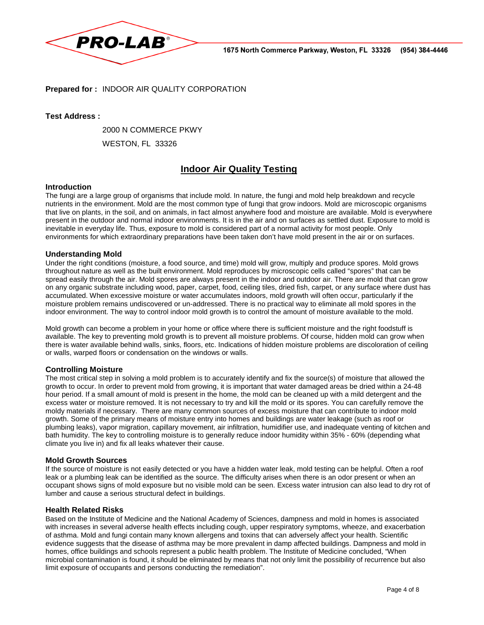

#### **Prepared for :** INDOOR AIR QUALITY CORPORATION

#### **Test Address :**

2000 N COMMERCE PKWY

WESTON, FL 33326

# **Indoor Air Quality Testing**

#### **Introduction**

The fungi are a large group of organisms that include mold. In nature, the fungi and mold help breakdown and recycle nutrients in the environment. Mold are the most common type of fungi that grow indoors. Mold are microscopic organisms that live on plants, in the soil, and on animals, in fact almost anywhere food and moisture are available. Mold is everywhere present in the outdoor and normal indoor environments. It is in the air and on surfaces as settled dust. Exposure to mold is inevitable in everyday life. Thus, exposure to mold is considered part of a normal activity for most people. Only environments for which extraordinary preparations have been taken don't have mold present in the air or on surfaces.

#### **Understanding Mold**

Under the right conditions (moisture, a food source, and time) mold will grow, multiply and produce spores. Mold grows throughout nature as well as the built environment. Mold reproduces by microscopic cells called "spores" that can be spread easily through the air. Mold spores are always present in the indoor and outdoor air. There are mold that can grow on any organic substrate including wood, paper, carpet, food, ceiling tiles, dried fish, carpet, or any surface where dust has accumulated. When excessive moisture or water accumulates indoors, mold growth will often occur, particularly if the moisture problem remains undiscovered or un-addressed. There is no practical way to eliminate all mold spores in the indoor environment. The way to control indoor mold growth is to control the amount of moisture available to the mold.

Mold growth can become a problem in your home or office where there is sufficient moisture and the right foodstuff is available. The key to preventing mold growth is to prevent all moisture problems. Of course, hidden mold can grow when there is water available behind walls, sinks, floors, etc. Indications of hidden moisture problems are discoloration of ceiling or walls, warped floors or condensation on the windows or walls.

#### **Controlling Moisture**

The most critical step in solving a mold problem is to accurately identify and fix the source(s) of moisture that allowed the growth to occur. In order to prevent mold from growing, it is important that water damaged areas be dried within a 24-48 hour period. If a small amount of mold is present in the home, the mold can be cleaned up with a mild detergent and the excess water or moisture removed. It is not necessary to try and kill the mold or its spores. You can carefully remove the moldy materials if necessary. There are many common sources of excess moisture that can contribute to indoor mold growth. Some of the primary means of moisture entry into homes and buildings are water leakage (such as roof or plumbing leaks), vapor migration, capillary movement, air infiltration, humidifier use, and inadequate venting of kitchen and bath humidity. The key to controlling moisture is to generally reduce indoor humidity within 35% - 60% (depending what climate you live in) and fix all leaks whatever their cause.

#### **Mold Growth Sources**

If the source of moisture is not easily detected or you have a hidden water leak, mold testing can be helpful. Often a roof leak or a plumbing leak can be identified as the source. The difficulty arises when there is an odor present or when an occupant shows signs of mold exposure but no visible mold can be seen. Excess water intrusion can also lead to dry rot of lumber and cause a serious structural defect in buildings.

#### **Health Related Risks**

Based on the Institute of Medicine and the National Academy of Sciences, dampness and mold in homes is associated with increases in several adverse health effects including cough, upper respiratory symptoms, wheeze, and exacerbation of asthma. Mold and fungi contain many known allergens and toxins that can adversely affect your health. Scientific evidence suggests that the disease of asthma may be more prevalent in damp affected buildings. Dampness and mold in homes, office buildings and schools represent a public health problem. The Institute of Medicine concluded, "When microbial contamination is found, it should be eliminated by means that not only limit the possibility of recurrence but also limit exposure of occupants and persons conducting the remediation".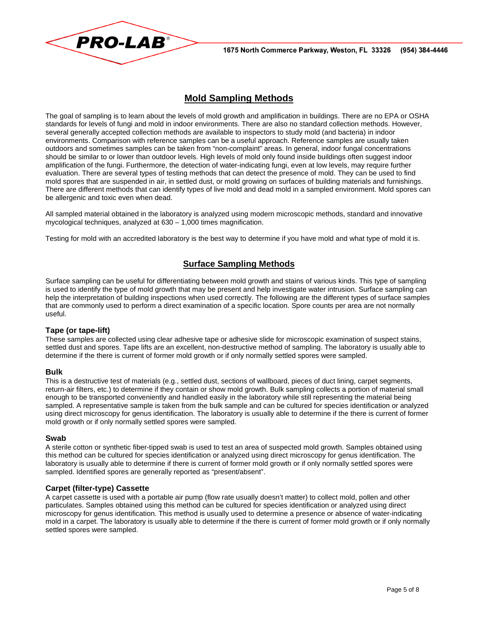



## **Mold Sampling Methods**

The goal of sampling is to learn about the levels of mold growth and amplification in buildings. There are no EPA or OSHA standards for levels of fungi and mold in indoor environments. There are also no standard collection methods. However, several generally accepted collection methods are available to inspectors to study mold (and bacteria) in indoor environments. Comparison with reference samples can be a useful approach. Reference samples are usually taken outdoors and sometimes samples can be taken from "non-complaint" areas. In general, indoor fungal concentrations should be similar to or lower than outdoor levels. High levels of mold only found inside buildings often suggest indoor amplification of the fungi. Furthermore, the detection of water-indicating fungi, even at low levels, may require further evaluation. There are several types of testing methods that can detect the presence of mold. They can be used to find mold spores that are suspended in air, in settled dust, or mold growing on surfaces of building materials and furnishings. There are different methods that can identify types of live mold and dead mold in a sampled environment. Mold spores can be allergenic and toxic even when dead.

All sampled material obtained in the laboratory is analyzed using modern microscopic methods, standard and innovative mycological techniques, analyzed at 630 – 1,000 times magnification.

Testing for mold with an accredited laboratory is the best way to determine if you have mold and what type of mold it is.

## **Surface Sampling Methods**

Surface sampling can be useful for differentiating between mold growth and stains of various kinds. This type of sampling is used to identify the type of mold growth that may be present and help investigate water intrusion. Surface sampling can help the interpretation of building inspections when used correctly. The following are the different types of surface samples that are commonly used to perform a direct examination of a specific location. Spore counts per area are not normally useful.

#### **Tape (or tape-lift)**

These samples are collected using clear adhesive tape or adhesive slide for microscopic examination of suspect stains, settled dust and spores. Tape lifts are an excellent, non-destructive method of sampling. The laboratory is usually able to determine if the there is current of former mold growth or if only normally settled spores were sampled.

#### **Bulk**

This is a destructive test of materials (e.g., settled dust, sections of wallboard, pieces of duct lining, carpet segments, return-air filters, etc.) to determine if they contain or show mold growth. Bulk sampling collects a portion of material small enough to be transported conveniently and handled easily in the laboratory while still representing the material being sampled. A representative sample is taken from the bulk sample and can be cultured for species identification or analyzed using direct microscopy for genus identification. The laboratory is usually able to determine if the there is current of former mold growth or if only normally settled spores were sampled.

#### **Swab**

A sterile cotton or synthetic fiber-tipped swab is used to test an area of suspected mold growth. Samples obtained using this method can be cultured for species identification or analyzed using direct microscopy for genus identification. The laboratory is usually able to determine if there is current of former mold growth or if only normally settled spores were sampled. Identified spores are generally reported as "present/absent".

#### **Carpet (filter-type) Cassette**

A carpet cassette is used with a portable air pump (flow rate usually doesn't matter) to collect mold, pollen and other particulates. Samples obtained using this method can be cultured for species identification or analyzed using direct microscopy for genus identification. This method is usually used to determine a presence or absence of water-indicating mold in a carpet. The laboratory is usually able to determine if the there is current of former mold growth or if only normally settled spores were sampled.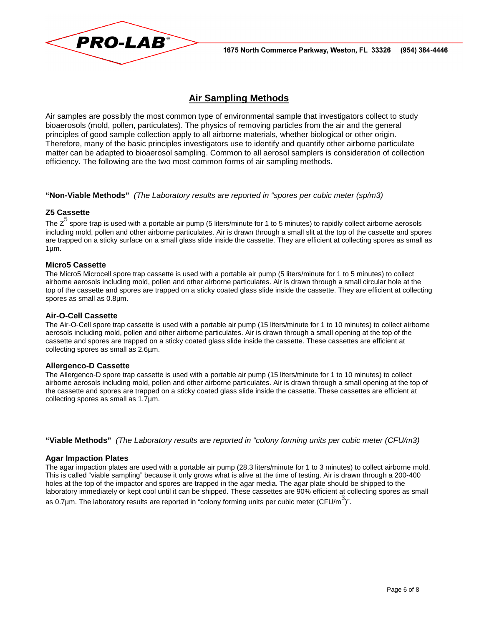

# **Air Sampling Methods**

Air samples are possibly the most common type of environmental sample that investigators collect to study bioaerosols (mold, pollen, particulates). The physics of removing particles from the air and the general principles of good sample collection apply to all airborne materials, whether biological or other origin. Therefore, many of the basic principles investigators use to identify and quantify other airborne particulate matter can be adapted to bioaerosol sampling. Common to all aerosol samplers is consideration of collection efficiency. The following are the two most common forms of air sampling methods.

**"Non-Viable Methods"** (The Laboratory results are reported in "spores per cubic meter (sp/m3)

#### **Z5 Cassette**

The  $\textsf{Z}^5$  spore trap is used with a portable air pump (5 liters/minute for 1 to 5 minutes) to rapidly collect airborne aerosols including mold, pollen and other airborne particulates. Air is drawn through a small slit at the top of the cassette and spores are trapped on a sticky surface on a small glass slide inside the cassette. They are efficient at collecting spores as small as  $1µm.$ 

#### **Micro5 Cassette**

The Micro5 Microcell spore trap cassette is used with a portable air pump (5 liters/minute for 1 to 5 minutes) to collect airborne aerosols including mold, pollen and other airborne particulates. Air is drawn through a small circular hole at the top of the cassette and spores are trapped on a sticky coated glass slide inside the cassette. They are efficient at collecting spores as small as 0.8µm.

#### **Air-O-Cell Cassette**

The Air-O-Cell spore trap cassette is used with a portable air pump (15 liters/minute for 1 to 10 minutes) to collect airborne aerosols including mold, pollen and other airborne particulates. Air is drawn through a small opening at the top of the cassette and spores are trapped on a sticky coated glass slide inside the cassette. These cassettes are efficient at collecting spores as small as 2.6µm.

#### **Allergenco-D Cassette**

The Allergenco-D spore trap cassette is used with a portable air pump (15 liters/minute for 1 to 10 minutes) to collect airborne aerosols including mold, pollen and other airborne particulates. Air is drawn through a small opening at the top of the cassette and spores are trapped on a sticky coated glass slide inside the cassette. These cassettes are efficient at collecting spores as small as 1.7µm.

**"Viable Methods"** (The Laboratory results are reported in "colony forming units per cubic meter (CFU/m3)

#### **Agar Impaction Plates**

The agar impaction plates are used with a portable air pump (28.3 liters/minute for 1 to 3 minutes) to collect airborne mold. This is called "viable sampling" because it only grows what is alive at the time of testing. Air is drawn through a 200-400 holes at the top of the impactor and spores are trapped in the agar media. The agar plate should be shipped to the laboratory immediately or kept cool until it can be shipped. These cassettes are 90% efficient at collecting spores as small as 0.7µm. The laboratory results are reported in "colony forming units per cubic meter (CFU/m<sup>3</sup>)".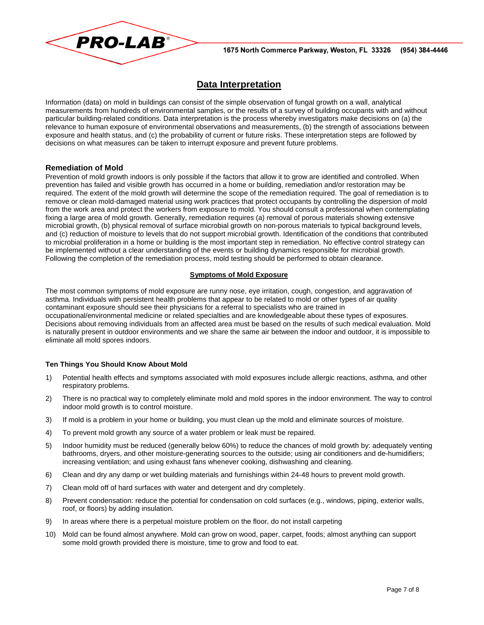

# **Data Interpretation**

Information (data) on mold in buildings can consist of the simple observation of fungal growth on a wall, analytical measurements from hundreds of environmental samples, or the results of a survey of building occupants with and without particular building-related conditions. Data interpretation is the process whereby investigators make decisions on (a) the relevance to human exposure of environmental observations and measurements, (b) the strength of associations between exposure and health status, and (c) the probability of current or future risks. These interpretation steps are followed by decisions on what measures can be taken to interrupt exposure and prevent future problems.

#### **Remediation of Mold**

Prevention of mold growth indoors is only possible if the factors that allow it to grow are identified and controlled. When prevention has failed and visible growth has occurred in a home or building, remediation and/or restoration may be required. The extent of the mold growth will determine the scope of the remediation required. The goal of remediation is to remove or clean mold-damaged material using work practices that protect occupants by controlling the dispersion of mold from the work area and protect the workers from exposure to mold. You should consult a professional when contemplating fixing a large area of mold growth. Generally, remediation requires (a) removal of porous materials showing extensive microbial growth, (b) physical removal of surface microbial growth on non-porous materials to typical background levels, and (c) reduction of moisture to levels that do not support microbial growth. Identification of the conditions that contributed to microbial proliferation in a home or building is the most important step in remediation. No effective control strategy can be implemented without a clear understanding of the events or building dynamics responsible for microbial growth. Following the completion of the remediation process, mold testing should be performed to obtain clearance.

#### **Symptoms of Mold Exposure**

The most common symptoms of mold exposure are runny nose, eye irritation, cough, congestion, and aggravation of asthma. Individuals with persistent health problems that appear to be related to mold or other types of air quality contaminant exposure should see their physicians for a referral to specialists who are trained in occupational/environmental medicine or related specialties and are knowledgeable about these types of exposures. Decisions about removing individuals from an affected area must be based on the results of such medical evaluation. Mold is naturally present in outdoor environments and we share the same air between the indoor and outdoor, it is impossible to eliminate all mold spores indoors.

#### **Ten Things You Should Know About Mold**

- 1) Potential health effects and symptoms associated with mold exposures include allergic reactions, asthma, and other respiratory problems.
- 2) There is no practical way to completely eliminate mold and mold spores in the indoor environment. The way to control indoor mold growth is to control moisture.
- 3) If mold is a problem in your home or building, you must clean up the mold and eliminate sources of moisture.
- 4) To prevent mold growth any source of a water problem or leak must be repaired.
- 5) Indoor humidity must be reduced (generally below 60%) to reduce the chances of mold growth by: adequately venting bathrooms, dryers, and other moisture-generating sources to the outside; using air conditioners and de-humidifiers; increasing ventilation; and using exhaust fans whenever cooking, dishwashing and cleaning.
- 6) Clean and dry any damp or wet building materials and furnishings within 24-48 hours to prevent mold growth.
- 7) Clean mold off of hard surfaces with water and detergent and dry completely.
- 8) Prevent condensation: reduce the potential for condensation on cold surfaces (e.g., windows, piping, exterior walls, roof, or floors) by adding insulation.
- 9) In areas where there is a perpetual moisture problem on the floor, do not install carpeting
- 10) Mold can be found almost anywhere. Mold can grow on wood, paper, carpet, foods; almost anything can support some mold growth provided there is moisture, time to grow and food to eat.